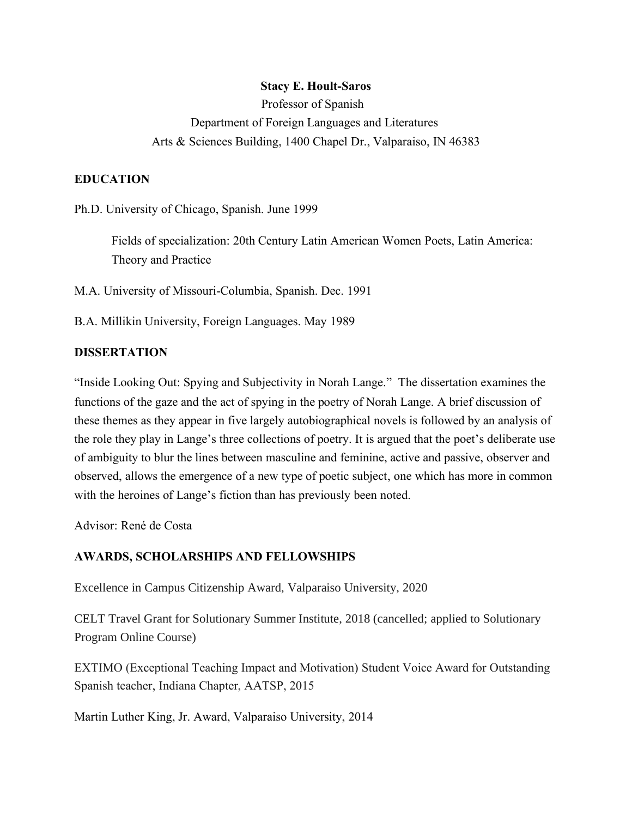## **Stacy E. Hoult-Saros**

Professor of Spanish Department of Foreign Languages and Literatures Arts & Sciences Building, 1400 Chapel Dr., Valparaiso, IN 46383

## **EDUCATION**

Ph.D. University of Chicago, Spanish. June 1999

Fields of specialization: 20th Century Latin American Women Poets, Latin America: Theory and Practice

M.A. University of Missouri-Columbia, Spanish. Dec. 1991

B.A. Millikin University, Foreign Languages. May 1989

### **DISSERTATION**

"Inside Looking Out: Spying and Subjectivity in Norah Lange." The dissertation examines the functions of the gaze and the act of spying in the poetry of Norah Lange. A brief discussion of these themes as they appear in five largely autobiographical novels is followed by an analysis of the role they play in Lange's three collections of poetry. It is argued that the poet's deliberate use of ambiguity to blur the lines between masculine and feminine, active and passive, observer and observed, allows the emergence of a new type of poetic subject, one which has more in common with the heroines of Lange's fiction than has previously been noted.

Advisor: René de Costa

#### **AWARDS, SCHOLARSHIPS AND FELLOWSHIPS**

Excellence in Campus Citizenship Award, Valparaiso University, 2020

CELT Travel Grant for Solutionary Summer Institute, 2018 (cancelled; applied to Solutionary Program Online Course)

EXTIMO (Exceptional Teaching Impact and Motivation) Student Voice Award for Outstanding Spanish teacher, Indiana Chapter, AATSP, 2015

Martin Luther King, Jr. Award, Valparaiso University, 2014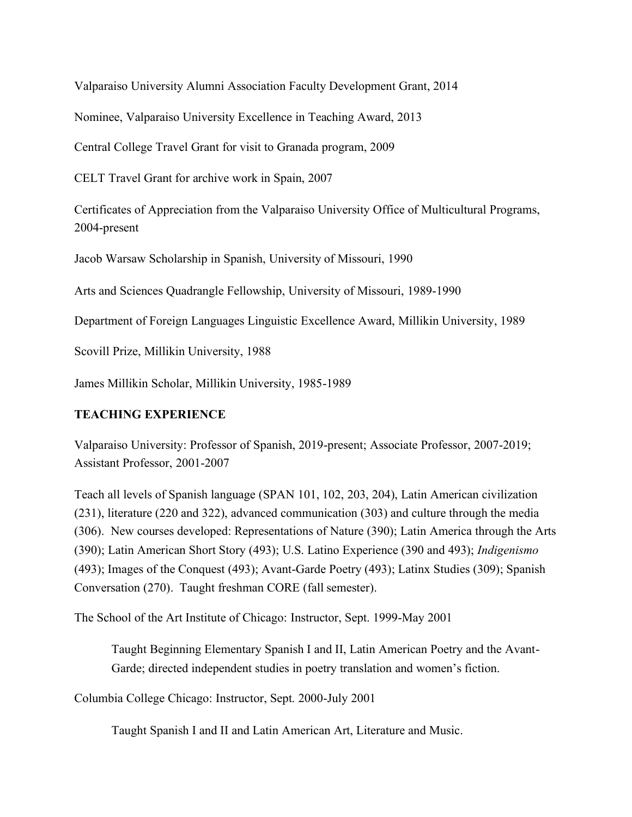Valparaiso University Alumni Association Faculty Development Grant, 2014

Nominee, Valparaiso University Excellence in Teaching Award, 2013

Central College Travel Grant for visit to Granada program, 2009

CELT Travel Grant for archive work in Spain, 2007

Certificates of Appreciation from the Valparaiso University Office of Multicultural Programs, 2004-present

Jacob Warsaw Scholarship in Spanish, University of Missouri, 1990

Arts and Sciences Quadrangle Fellowship, University of Missouri, 1989-1990

Department of Foreign Languages Linguistic Excellence Award, Millikin University, 1989

Scovill Prize, Millikin University, 1988

James Millikin Scholar, Millikin University, 1985-1989

## **TEACHING EXPERIENCE**

Valparaiso University: Professor of Spanish, 2019-present; Associate Professor, 2007-2019; Assistant Professor, 2001-2007

Teach all levels of Spanish language (SPAN 101, 102, 203, 204), Latin American civilization (231), literature (220 and 322), advanced communication (303) and culture through the media (306). New courses developed: Representations of Nature (390); Latin America through the Arts (390); Latin American Short Story (493); U.S. Latino Experience (390 and 493); *Indigenismo*  (493); Images of the Conquest (493); Avant-Garde Poetry (493); Latinx Studies (309); Spanish Conversation (270). Taught freshman CORE (fall semester).

The School of the Art Institute of Chicago: Instructor, Sept. 1999-May 2001

Taught Beginning Elementary Spanish I and II, Latin American Poetry and the Avant-Garde; directed independent studies in poetry translation and women's fiction.

Columbia College Chicago: Instructor, Sept. 2000-July 2001

Taught Spanish I and II and Latin American Art, Literature and Music.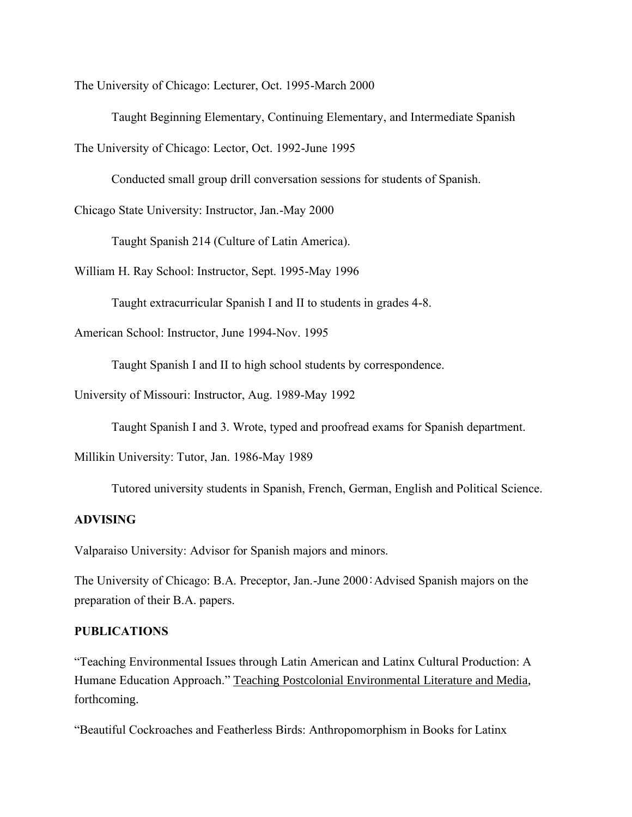The University of Chicago: Lecturer, Oct. 1995-March 2000

Taught Beginning Elementary, Continuing Elementary, and Intermediate Spanish

The University of Chicago: Lector, Oct. 1992-June 1995

Conducted small group drill conversation sessions for students of Spanish.

Chicago State University: Instructor, Jan.-May 2000

Taught Spanish 214 (Culture of Latin America).

William H. Ray School: Instructor, Sept. 1995-May 1996

Taught extracurricular Spanish I and II to students in grades 4-8.

American School: Instructor, June 1994-Nov. 1995

Taught Spanish I and II to high school students by correspondence.

University of Missouri: Instructor, Aug. 1989-May 1992

Taught Spanish I and 3. Wrote, typed and proofread exams for Spanish department.

Millikin University: Tutor, Jan. 1986-May 1989

Tutored university students in Spanish, French, German, English and Political Science.

#### **ADVISING**

Valparaiso University: Advisor for Spanish majors and minors.

The University of Chicago: B.A. Preceptor, Jan.-June 2000:Advised Spanish majors on the preparation of their B.A. papers.

#### **PUBLICATIONS**

"Teaching Environmental Issues through Latin American and Latinx Cultural Production: A Humane Education Approach." Teaching Postcolonial Environmental Literature and Media, forthcoming.

"Beautiful Cockroaches and Featherless Birds: Anthropomorphism in Books for Latinx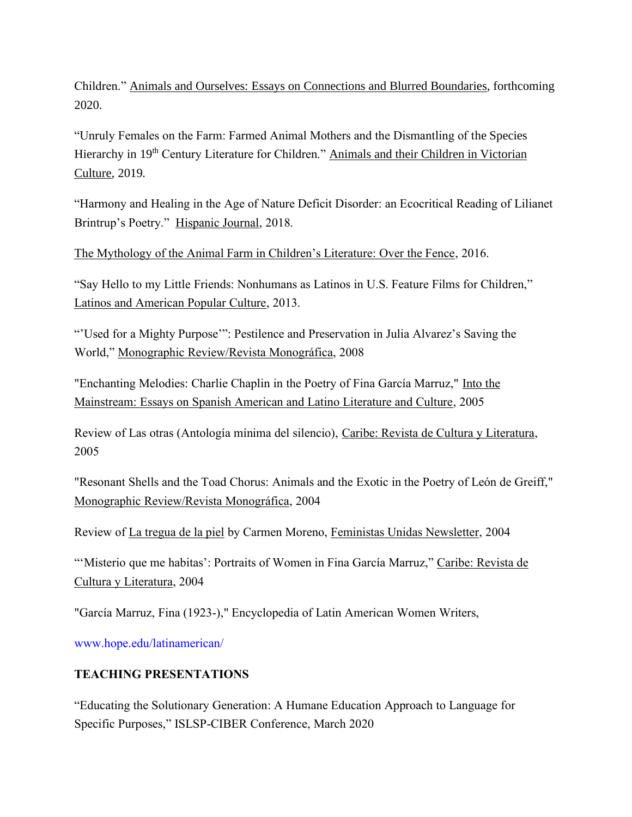Children." Animals and Ourselves: Essays on Connections and Blurred Boundaries, forthcoming 2020.

"Unruly Females on the Farm: Farmed Animal Mothers and the Dismantling of the Species Hierarchy in 19<sup>th</sup> Century Literature for Children." Animals and their Children in Victorian Culture, 2019.

"Harmony and Healing in the Age of Nature Deficit Disorder: an Ecocritical Reading of Lilianet Brintrup's Poetry." Hispanic Journal, 2018.

The Mythology of the Animal Farm in Children's Literature: Over the Fence, 2016.

"Say Hello to my Little Friends: Nonhumans as Latinos in U.S. Feature Films for Children," Latinos and American Popular Culture, 2013.

"'Used for a Mighty Purpose'": Pestilence and Preservation in Julia Alvarez's Saving the World," Monographic Review/Revista Monográfica, 2008

"Enchanting Melodies: Charlie Chaplin in the Poetry of Fina García Marruz," Into the Mainstream: Essays on Spanish American and Latino Literature and Culture, 2005

Review of Las otras (Antología mínima del silencio), Caribe: Revista de Cultura y Literatura, 2005

"Resonant Shells and the Toad Chorus: Animals and the Exotic in the Poetry of León de Greiff," Monographic Review/Revista Monográfica, 2004

Review of La tregua de la piel by Carmen Moreno, Feministas Unidas Newsletter, 2004

"'Misterio que me habitas': Portraits of Women in Fina García Marruz," Caribe: Revista de Cultura y Literatura, 2004

"García Marruz, Fina (1923-)," Encyclopedia of Latin American Women Writers,

www.hope.edu/latinamerican/

## **TEACHING PRESENTATIONS**

"Educating the Solutionary Generation: A Humane Education Approach to Language for Specific Purposes," ISLSP-CIBER Conference, March 2020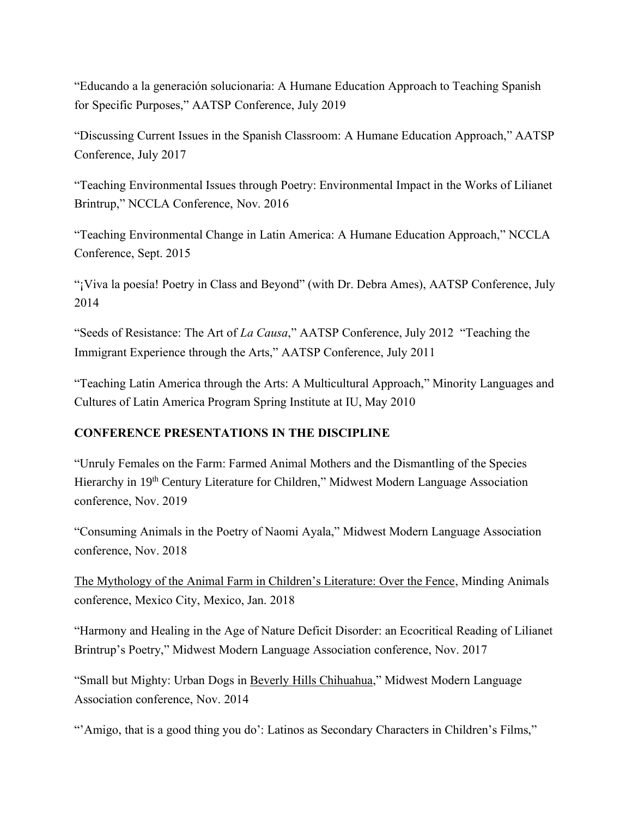"Educando a la generación solucionaria: A Humane Education Approach to Teaching Spanish for Specific Purposes," AATSP Conference, July 2019

"Discussing Current Issues in the Spanish Classroom: A Humane Education Approach," AATSP Conference, July 2017

"Teaching Environmental Issues through Poetry: Environmental Impact in the Works of Lilianet Brintrup," NCCLA Conference, Nov. 2016

"Teaching Environmental Change in Latin America: A Humane Education Approach," NCCLA Conference, Sept. 2015

"¡Viva la poesía! Poetry in Class and Beyond" (with Dr. Debra Ames), AATSP Conference, July 2014

"Seeds of Resistance: The Art of *La Causa*," AATSP Conference, July 2012 "Teaching the Immigrant Experience through the Arts," AATSP Conference, July 2011

"Teaching Latin America through the Arts: A Multicultural Approach," Minority Languages and Cultures of Latin America Program Spring Institute at IU, May 2010

## **CONFERENCE PRESENTATIONS IN THE DISCIPLINE**

"Unruly Females on the Farm: Farmed Animal Mothers and the Dismantling of the Species Hierarchy in 19<sup>th</sup> Century Literature for Children," Midwest Modern Language Association conference, Nov. 2019

"Consuming Animals in the Poetry of Naomi Ayala," Midwest Modern Language Association conference, Nov. 2018

The Mythology of the Animal Farm in Children's Literature: Over the Fence, Minding Animals conference, Mexico City, Mexico, Jan. 2018

"Harmony and Healing in the Age of Nature Deficit Disorder: an Ecocritical Reading of Lilianet Brintrup's Poetry," Midwest Modern Language Association conference, Nov. 2017

"Small but Mighty: Urban Dogs in Beverly Hills Chihuahua," Midwest Modern Language Association conference, Nov. 2014

"'Amigo, that is a good thing you do': Latinos as Secondary Characters in Children's Films,"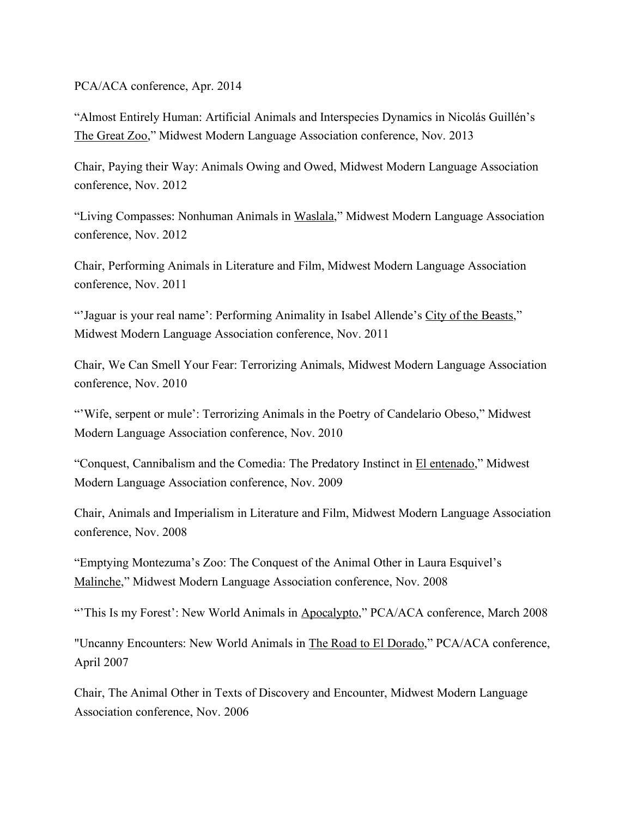#### PCA/ACA conference, Apr. 2014

"Almost Entirely Human: Artificial Animals and Interspecies Dynamics in Nicolás Guillén's The Great Zoo," Midwest Modern Language Association conference, Nov. 2013

Chair, Paying their Way: Animals Owing and Owed, Midwest Modern Language Association conference, Nov. 2012

"Living Compasses: Nonhuman Animals in Waslala," Midwest Modern Language Association conference, Nov. 2012

Chair, Performing Animals in Literature and Film, Midwest Modern Language Association conference, Nov. 2011

"'Jaguar is your real name': Performing Animality in Isabel Allende's City of the Beasts," Midwest Modern Language Association conference, Nov. 2011

Chair, We Can Smell Your Fear: Terrorizing Animals, Midwest Modern Language Association conference, Nov. 2010

"Wife, serpent or mule': Terrorizing Animals in the Poetry of Candelario Obeso," Midwest Modern Language Association conference, Nov. 2010

"Conquest, Cannibalism and the Comedia: The Predatory Instinct in El entenado," Midwest Modern Language Association conference, Nov. 2009

Chair, Animals and Imperialism in Literature and Film, Midwest Modern Language Association conference, Nov. 2008

"Emptying Montezuma's Zoo: The Conquest of the Animal Other in Laura Esquivel's Malinche," Midwest Modern Language Association conference, Nov. 2008

"This Is my Forest': New World Animals in Apocalypto," PCA/ACA conference, March 2008

"Uncanny Encounters: New World Animals in The Road to El Dorado," PCA/ACA conference, April 2007

Chair, The Animal Other in Texts of Discovery and Encounter, Midwest Modern Language Association conference, Nov. 2006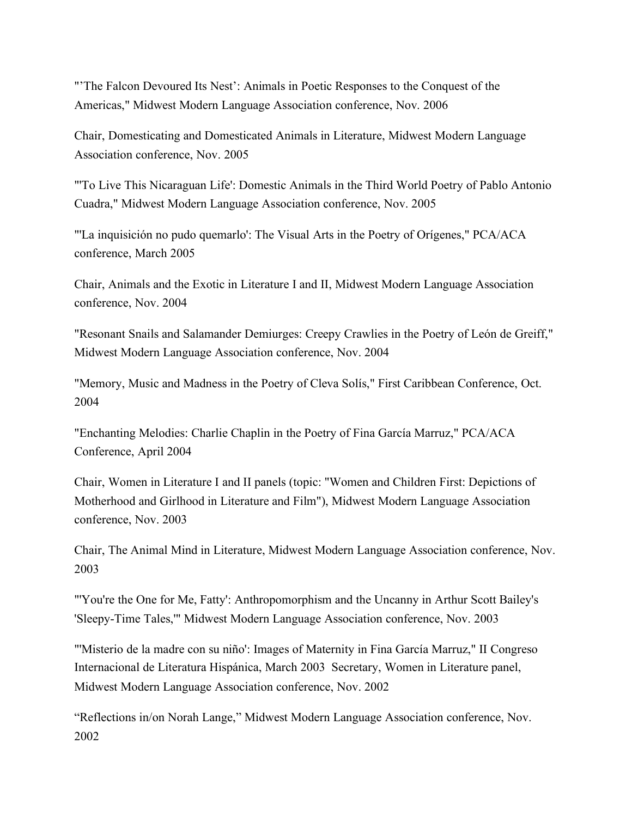"'The Falcon Devoured Its Nest': Animals in Poetic Responses to the Conquest of the Americas," Midwest Modern Language Association conference, Nov. 2006

Chair, Domesticating and Domesticated Animals in Literature, Midwest Modern Language Association conference, Nov. 2005

"'To Live This Nicaraguan Life': Domestic Animals in the Third World Poetry of Pablo Antonio Cuadra," Midwest Modern Language Association conference, Nov. 2005

"'La inquisición no pudo quemarlo': The Visual Arts in the Poetry of Orígenes," PCA/ACA conference, March 2005

Chair, Animals and the Exotic in Literature I and II, Midwest Modern Language Association conference, Nov. 2004

"Resonant Snails and Salamander Demiurges: Creepy Crawlies in the Poetry of León de Greiff," Midwest Modern Language Association conference, Nov. 2004

"Memory, Music and Madness in the Poetry of Cleva Solís," First Caribbean Conference, Oct. 2004

"Enchanting Melodies: Charlie Chaplin in the Poetry of Fina García Marruz," PCA/ACA Conference, April 2004

Chair, Women in Literature I and II panels (topic: "Women and Children First: Depictions of Motherhood and Girlhood in Literature and Film"), Midwest Modern Language Association conference, Nov. 2003

Chair, The Animal Mind in Literature, Midwest Modern Language Association conference, Nov. 2003

"'You're the One for Me, Fatty': Anthropomorphism and the Uncanny in Arthur Scott Bailey's 'Sleepy-Time Tales,'" Midwest Modern Language Association conference, Nov. 2003

"'Misterio de la madre con su niño': Images of Maternity in Fina García Marruz," II Congreso Internacional de Literatura Hispánica, March 2003 Secretary, Women in Literature panel, Midwest Modern Language Association conference, Nov. 2002

"Reflections in/on Norah Lange," Midwest Modern Language Association conference, Nov. 2002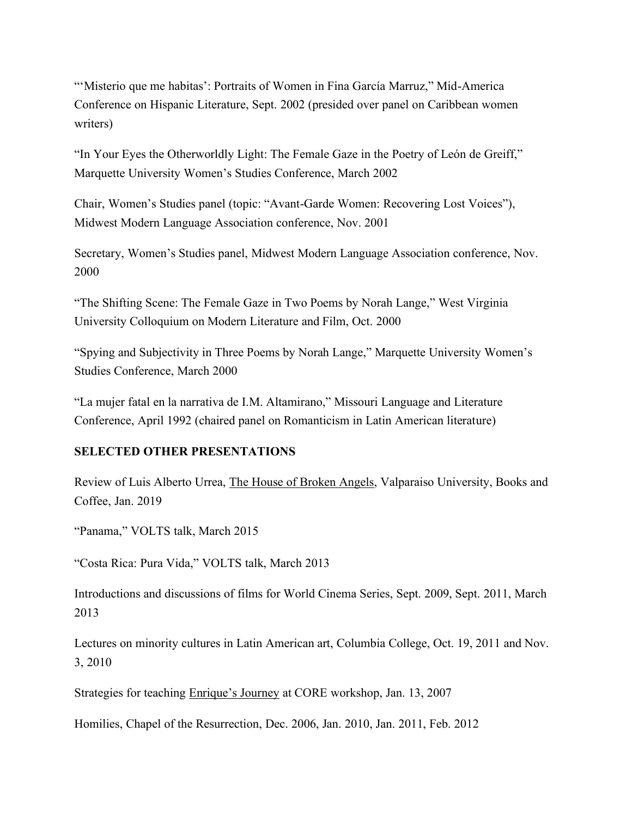"'Misterio que me habitas': Portraits of Women in Fina García Marruz," Mid-America Conference on Hispanic Literature, Sept. 2002 (presided over panel on Caribbean women writers)

"In Your Eyes the Otherworldly Light: The Female Gaze in the Poetry of León de Greiff," Marquette University Women's Studies Conference, March 2002

Chair, Women's Studies panel (topic: "Avant-Garde Women: Recovering Lost Voices"), Midwest Modern Language Association conference, Nov. 2001

Secretary, Women's Studies panel, Midwest Modern Language Association conference, Nov. 2000

"The Shifting Scene: The Female Gaze in Two Poems by Norah Lange," West Virginia University Colloquium on Modern Literature and Film, Oct. 2000

"Spying and Subjectivity in Three Poems by Norah Lange," Marquette University Women's Studies Conference, March 2000

"La mujer fatal en la narrativa de I.M. Altamirano," Missouri Language and Literature Conference, April 1992 (chaired panel on Romanticism in Latin American literature)

## **SELECTED OTHER PRESENTATIONS**

Review of Luis Alberto Urrea, The House of Broken Angels, Valparaiso University, Books and Coffee, Jan. 2019

"Panama," VOLTS talk, March 2015

"Costa Rica: Pura Vida," VOLTS talk, March 2013

Introductions and discussions of films for World Cinema Series, Sept. 2009, Sept. 2011, March 2013

Lectures on minority cultures in Latin American art, Columbia College, Oct. 19, 2011 and Nov. 3, 2010

Strategies for teaching Enrique's Journey at CORE workshop, Jan. 13, 2007

Homilies, Chapel of the Resurrection, Dec. 2006, Jan. 2010, Jan. 2011, Feb. 2012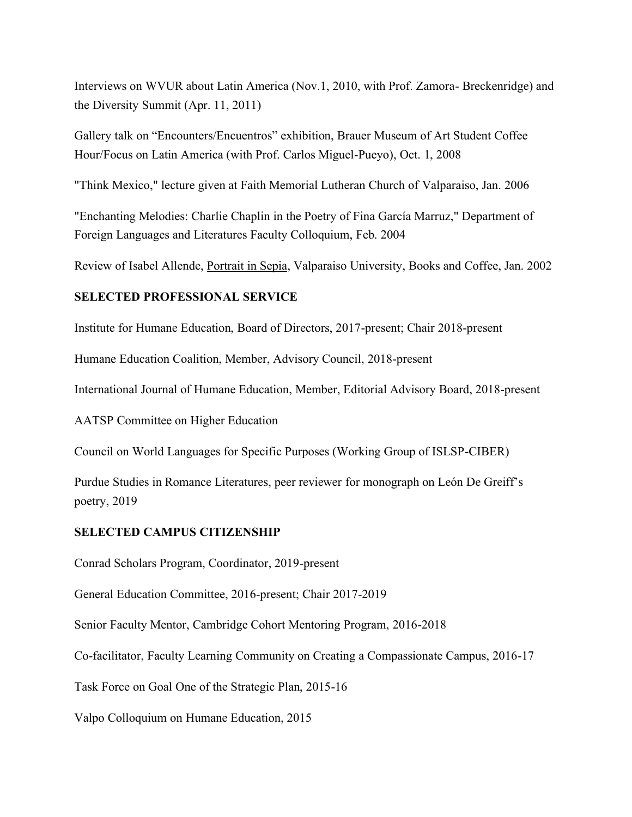Interviews on WVUR about Latin America (Nov.1, 2010, with Prof. Zamora- Breckenridge) and the Diversity Summit (Apr. 11, 2011)

Gallery talk on "Encounters/Encuentros" exhibition, Brauer Museum of Art Student Coffee Hour/Focus on Latin America (with Prof. Carlos Miguel-Pueyo), Oct. 1, 2008

"Think Mexico," lecture given at Faith Memorial Lutheran Church of Valparaiso, Jan. 2006

"Enchanting Melodies: Charlie Chaplin in the Poetry of Fina García Marruz," Department of Foreign Languages and Literatures Faculty Colloquium, Feb. 2004

Review of Isabel Allende, Portrait in Sepia, Valparaiso University, Books and Coffee, Jan. 2002

## **SELECTED PROFESSIONAL SERVICE**

Institute for Humane Education, Board of Directors, 2017-present; Chair 2018-present

Humane Education Coalition, Member, Advisory Council, 2018-present

International Journal of Humane Education, Member, Editorial Advisory Board, 2018-present

AATSP Committee on Higher Education

Council on World Languages for Specific Purposes (Working Group of ISLSP-CIBER)

Purdue Studies in Romance Literatures, peer reviewer for monograph on León De Greiff's poetry, 2019

## **SELECTED CAMPUS CITIZENSHIP**

Conrad Scholars Program, Coordinator, 2019-present

General Education Committee, 2016-present; Chair 2017-2019

Senior Faculty Mentor, Cambridge Cohort Mentoring Program, 2016-2018

Co-facilitator, Faculty Learning Community on Creating a Compassionate Campus, 2016-17

Task Force on Goal One of the Strategic Plan, 2015-16

Valpo Colloquium on Humane Education, 2015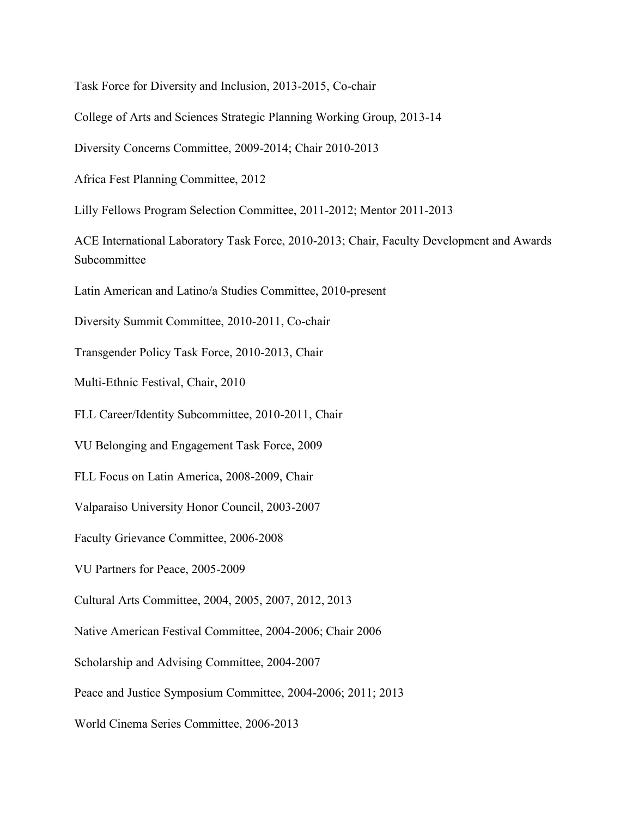Task Force for Diversity and Inclusion, 2013-2015, Co-chair

College of Arts and Sciences Strategic Planning Working Group, 2013-14

Diversity Concerns Committee, 2009-2014; Chair 2010-2013

Africa Fest Planning Committee, 2012

Lilly Fellows Program Selection Committee, 2011-2012; Mentor 2011-2013

ACE International Laboratory Task Force, 2010-2013; Chair, Faculty Development and Awards Subcommittee

Latin American and Latino/a Studies Committee, 2010-present

Diversity Summit Committee, 2010-2011, Co-chair

Transgender Policy Task Force, 2010-2013, Chair

Multi-Ethnic Festival, Chair, 2010

FLL Career/Identity Subcommittee, 2010-2011, Chair

VU Belonging and Engagement Task Force, 2009

FLL Focus on Latin America, 2008-2009, Chair

Valparaiso University Honor Council, 2003-2007

Faculty Grievance Committee, 2006-2008

VU Partners for Peace, 2005-2009

Cultural Arts Committee, 2004, 2005, 2007, 2012, 2013

Native American Festival Committee, 2004-2006; Chair 2006

Scholarship and Advising Committee, 2004-2007

Peace and Justice Symposium Committee, 2004-2006; 2011; 2013

World Cinema Series Committee, 2006-2013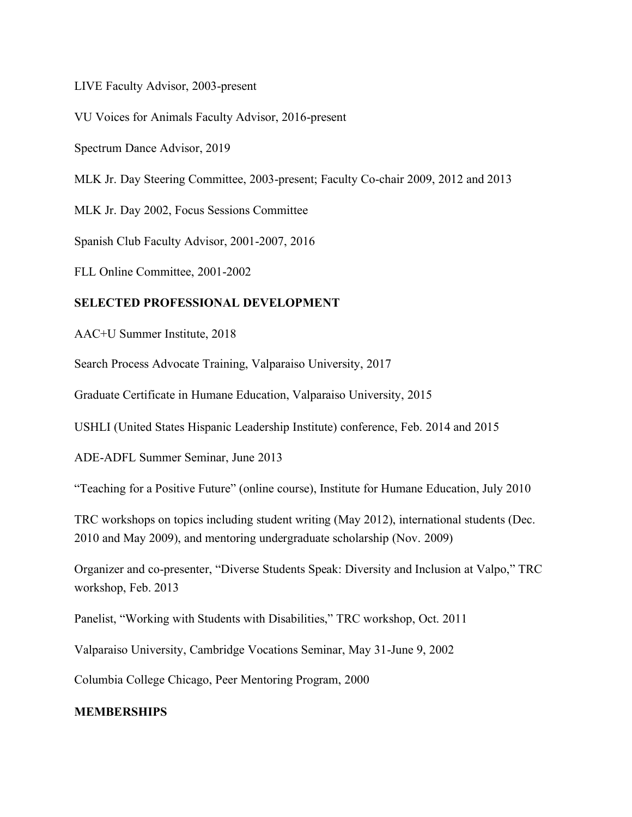LIVE Faculty Advisor, 2003-present

VU Voices for Animals Faculty Advisor, 2016-present

Spectrum Dance Advisor, 2019

MLK Jr. Day Steering Committee, 2003-present; Faculty Co-chair 2009, 2012 and 2013

MLK Jr. Day 2002, Focus Sessions Committee

Spanish Club Faculty Advisor, 2001-2007, 2016

FLL Online Committee, 2001-2002

## **SELECTED PROFESSIONAL DEVELOPMENT**

AAC+U Summer Institute, 2018

Search Process Advocate Training, Valparaiso University, 2017

Graduate Certificate in Humane Education, Valparaiso University, 2015

USHLI (United States Hispanic Leadership Institute) conference, Feb. 2014 and 2015

ADE-ADFL Summer Seminar, June 2013

"Teaching for a Positive Future" (online course), Institute for Humane Education, July 2010

TRC workshops on topics including student writing (May 2012), international students (Dec. 2010 and May 2009), and mentoring undergraduate scholarship (Nov. 2009)

Organizer and co-presenter, "Diverse Students Speak: Diversity and Inclusion at Valpo," TRC workshop, Feb. 2013

Panelist, "Working with Students with Disabilities," TRC workshop, Oct. 2011

Valparaiso University, Cambridge Vocations Seminar, May 31-June 9, 2002

Columbia College Chicago, Peer Mentoring Program, 2000

## **MEMBERSHIPS**